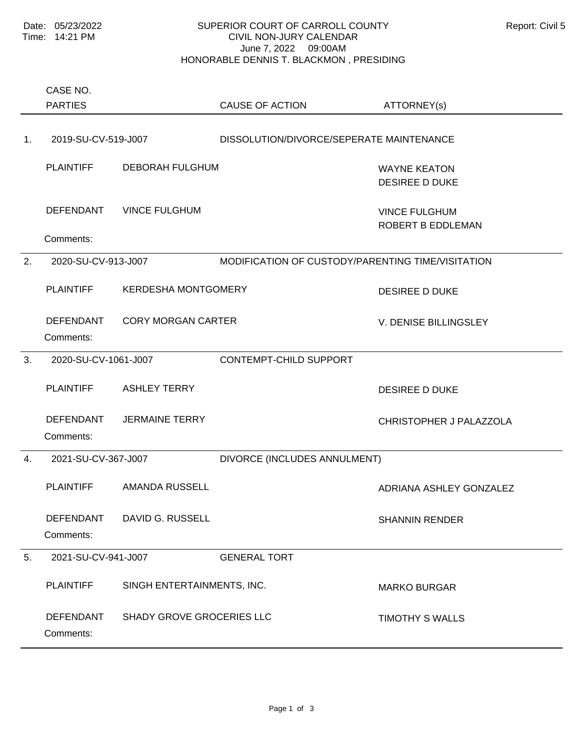## SUPERIOR COURT OF CARROLL COUNTY Report: Civil 5 CIVIL NON-JURY CALENDAR June 7, 2022 09:00AM HONORABLE DENNIS T. BLACKMON , PRESIDING

Comments: PLAINTIFF DEBORAH FULGHUM WAYNE KEATON DESIREE D DUKE DEFENDANT VINCE FULGHUM VINCE FULGHUM ROBERT B EDDLEMAN 1. 2019-SU-CV-519-J007 DISSOLUTION/DIVORCE/SEPERATE MAINTENANCE Comments: PLAINTIFF KERDESHA MONTGOMERY DESIREE D DUKE DEFENDANT CORY MORGAN CARTER V. DENISE BILLINGSLEY 2. 2020-SU-CV-913-J007 MODIFICATION OF CUSTODY/PARENTING TIME/VISITATION Comments: PLAINTIFF ASHLEY TERRY ASHLEY AS A SHEET A SHEET AS A SHEET AS A SHEET AS A SHEET AS A SHEET ASSAULT A SHEET A DEFENDANT JERMAINE TERRY CHRISTOPHER J PALAZZOLA 3. 2020-SU-CV-1061-J007 CONTEMPT-CHILD SUPPORT Comments: PLAINTIFF AMANDA RUSSELL **ADRIANA ASHLEY GONZALEZ** DEFENDANT DAVID G. RUSSELL SHANNIN RENDER 4. 2021-SU-CV-367-J007 DIVORCE (INCLUDES ANNULMENT) Comments: PLAINTIFF SINGH ENTERTAINMENTS, INC. THE MARKO BURGAR DEFENDANT SHADY GROVE GROCERIES LLC TIMOTHY S WALLS 5. 2021-SU-CV-941-J007 GENERAL TORT PARTIES CASE NO. CAUSE OF ACTION ATTORNEY(s)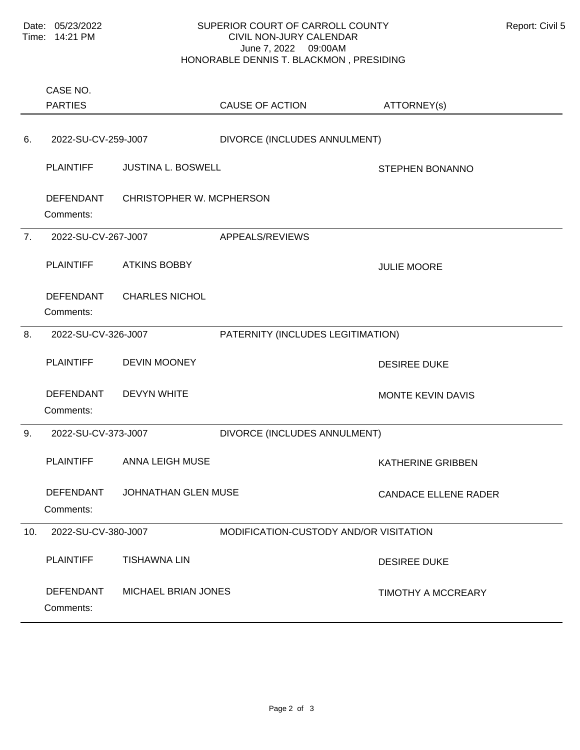## SUPERIOR COURT OF CARROLL COUNTY Report: Civil 5 CIVIL NON-JURY CALENDAR June 7, 2022 09:00AM HONORABLE DENNIS T. BLACKMON , PRESIDING

Comments: PLAINTIFF JUSTINA L. BOSWELL SERVICES STEPHEN BONANNO DEFENDANT CHRISTOPHER W. MCPHERSON 6. 2022-SU-CV-259-J007 DIVORCE (INCLUDES ANNULMENT) Comments: PLAINTIFF ATKINS BOBBY JULIE MOORE DEFENDANT CHARLES NICHOL 7. 2022-SU-CV-267-J007 APPEALS/REVIEWS Comments: PLAINTIFF DEVIN MOONEY DESIREE DUKE DEFENDANT DEVYN WHITE WAS CONSUMING MONTE KEVIN DAVIS 8. 2022-SU-CV-326-J007 PATERNITY (INCLUDES LEGITIMATION) Comments: PLAINTIFF ANNA LEIGH MUSE ANNA LEIGH MUSE AND A SATHERINE GRIBBEN DEFENDANT JOHNATHAN GLEN MUSE CANDACE ELLENE RADER 9. 2022-SU-CV-373-J007 DIVORCE (INCLUDES ANNULMENT) Comments: PLAINTIFF TISHAWNA LIN DESIREE DUKE DEFENDANT MICHAEL BRIAN JONES THE TIMOTHY A MCCREARY 10. 2022-SU-CV-380-J007 MODIFICATION-CUSTODY AND/OR VISITATION PARTIES CASE NO. CAUSE OF ACTION ATTORNEY(s)